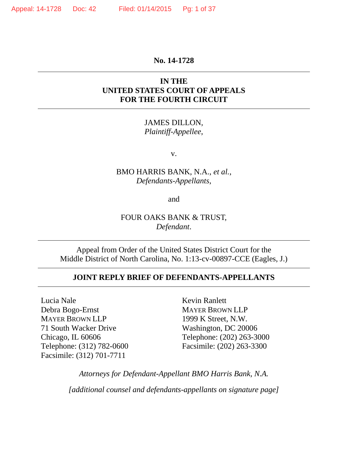#### **No. 14-1728**

### **IN THE UNITED STATES COURT OF APPEALS FOR THE FOURTH CIRCUIT**

JAMES DILLON, *Plaintiff-Appellee*,

v.

### BMO HARRIS BANK, N.A., *et al.*, *Defendants-Appellants*,

and

## FOUR OAKS BANK & TRUST, *Defendant*.

Appeal from Order of the United States District Court for the Middle District of North Carolina, No. 1:13-cv-00897-CCE (Eagles, J.)

#### **JOINT REPLY BRIEF OF DEFENDANTS-APPELLANTS**

Lucia Nale Debra Bogo-Ernst MAYER BROWN LLP 71 South Wacker Drive Chicago, IL 60606 Telephone: (312) 782-0600 Facsimile: (312) 701-7711

Kevin Ranlett MAYER BROWN LLP 1999 K Street, N.W. Washington, DC 20006 Telephone: (202) 263-3000 Facsimile: (202) 263-3300

*Attorneys for Defendant-Appellant BMO Harris Bank, N.A.*

*[additional counsel and defendants-appellants on signature page]*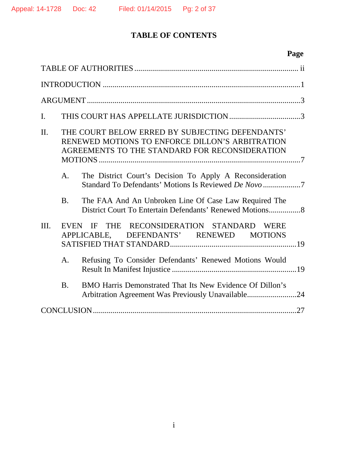# **TABLE OF CONTENTS**

# **Page**

| I.      |                                                                                                                                                      |                                                                                                                 |  |  |  |
|---------|------------------------------------------------------------------------------------------------------------------------------------------------------|-----------------------------------------------------------------------------------------------------------------|--|--|--|
| $\Pi$ . | THE COURT BELOW ERRED BY SUBJECTING DEFENDANTS'<br>RENEWED MOTIONS TO ENFORCE DILLON'S ARBITRATION<br>AGREEMENTS TO THE STANDARD FOR RECONSIDERATION |                                                                                                                 |  |  |  |
|         | A <sub>1</sub>                                                                                                                                       | The District Court's Decision To Apply A Reconsideration                                                        |  |  |  |
|         | <b>B.</b>                                                                                                                                            | The FAA And An Unbroken Line Of Case Law Required The                                                           |  |  |  |
| III.    | THE RECONSIDERATION STANDARD<br>EVEN IF<br><b>WERE</b><br>APPLICABLE, DEFENDANTS' RENEWED MOTIONS                                                    |                                                                                                                 |  |  |  |
|         | A <sub>1</sub>                                                                                                                                       | Refusing To Consider Defendants' Renewed Motions Would                                                          |  |  |  |
|         | B.                                                                                                                                                   | BMO Harris Demonstrated That Its New Evidence Of Dillon's<br>Arbitration Agreement Was Previously Unavailable24 |  |  |  |
|         |                                                                                                                                                      |                                                                                                                 |  |  |  |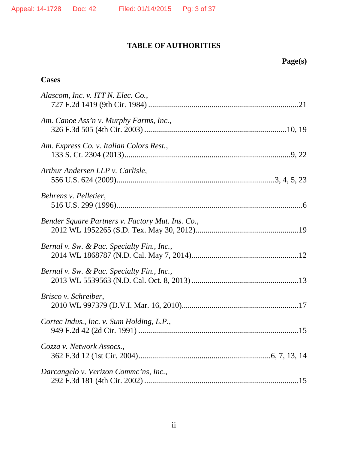# **TABLE OF AUTHORITIES**

## **Cases**

| Alascom, Inc. v. ITT N. Elec. Co.,               |
|--------------------------------------------------|
| Am. Canoe Ass'n v. Murphy Farms, Inc.,           |
| Am. Express Co. v. Italian Colors Rest.,         |
| Arthur Andersen LLP v. Carlisle,                 |
| Behrens v. Pelletier,                            |
| Bender Square Partners v. Factory Mut. Ins. Co., |
| Bernal v. Sw. & Pac. Specialty Fin., Inc.,       |
| Bernal v. Sw. & Pac. Specialty Fin., Inc.,       |
| Brisco v. Schreiber,                             |
| Cortec Indus., Inc. v. Sum Holding, L.P.,        |
| Cozza v. Network Assocs.,                        |
| Darcangelo v. Verizon Commc'ns, Inc.,            |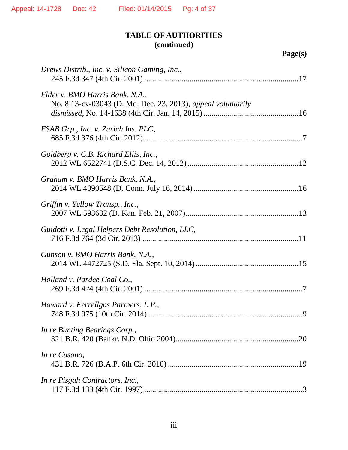## **TABLE OF AUTHORITIES (continued)**

| Drews Distrib., Inc. v. Silicon Gaming, Inc.,                                                   |
|-------------------------------------------------------------------------------------------------|
| Elder v. BMO Harris Bank, N.A.,<br>No. 8:13-cv-03043 (D. Md. Dec. 23, 2013), appeal voluntarily |
| ESAB Grp., Inc. v. Zurich Ins. PLC,                                                             |
| Goldberg v. C.B. Richard Ellis, Inc.,                                                           |
| Graham v. BMO Harris Bank, N.A.,                                                                |
| Griffin v. Yellow Transp., Inc.,                                                                |
| Guidotti v. Legal Helpers Debt Resolution, LLC,                                                 |
| Gunson v. BMO Harris Bank, N.A.,                                                                |
| Holland v. Pardee Coal Co.,                                                                     |
| Howard v. Ferrellgas Partners, L.P.,                                                            |
| In re Bunting Bearings Corp.,                                                                   |
| In re Cusano,                                                                                   |
| In re Pisgah Contractors, Inc.,                                                                 |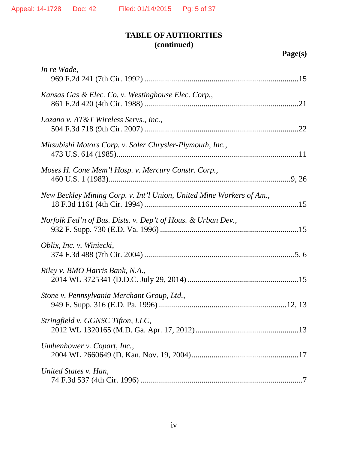## **TABLE OF AUTHORITIES (continued)**

| In re Wade,                                                          |
|----------------------------------------------------------------------|
| Kansas Gas & Elec. Co. v. Westinghouse Elec. Corp.,                  |
| Lozano v. AT&T Wireless Servs., Inc.,                                |
| Mitsubishi Motors Corp. v. Soler Chrysler-Plymouth, Inc.,            |
| Moses H. Cone Mem'l Hosp. v. Mercury Constr. Corp.,                  |
| New Beckley Mining Corp. v. Int'l Union, United Mine Workers of Am., |
| Norfolk Fed'n of Bus. Dists. v. Dep't of Hous. & Urban Dev.,         |
| Oblix, Inc. v. Winiecki,                                             |
| Riley v. BMO Harris Bank, N.A.,                                      |
| Stone v. Pennsylvania Merchant Group, Ltd.,                          |
| Stringfield v. GGNSC Tifton, LLC,                                    |
| Umbenhower v. Copart, Inc.,                                          |
| United States v. Han,                                                |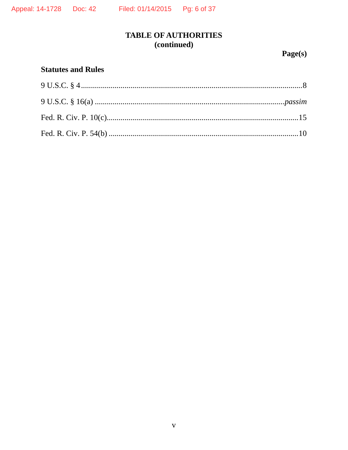## **TABLE OF AUTHORITIES** (continued)

Page(s)

## **Statutes and Rules**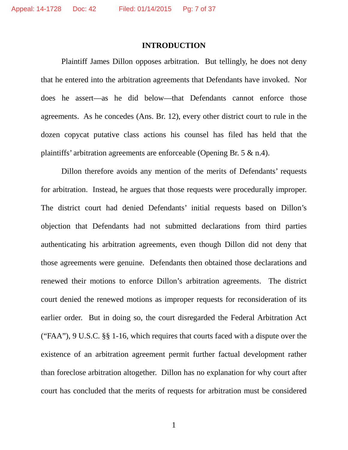#### **INTRODUCTION**

Plaintiff James Dillon opposes arbitration. But tellingly, he does not deny that he entered into the arbitration agreements that Defendants have invoked. Nor does he assert—as he did below—that Defendants cannot enforce those agreements. As he concedes (Ans. Br. 12), every other district court to rule in the dozen copycat putative class actions his counsel has filed has held that the plaintiffs' arbitration agreements are enforceable (Opening Br. 5 & n.4).

Dillon therefore avoids any mention of the merits of Defendants' requests for arbitration. Instead, he argues that those requests were procedurally improper. The district court had denied Defendants' initial requests based on Dillon's objection that Defendants had not submitted declarations from third parties authenticating his arbitration agreements, even though Dillon did not deny that those agreements were genuine. Defendants then obtained those declarations and renewed their motions to enforce Dillon's arbitration agreements. The district court denied the renewed motions as improper requests for reconsideration of its earlier order. But in doing so, the court disregarded the Federal Arbitration Act ("FAA"), 9 U.S.C. §§ 1-16, which requires that courts faced with a dispute over the existence of an arbitration agreement permit further factual development rather than foreclose arbitration altogether. Dillon has no explanation for why court after court has concluded that the merits of requests for arbitration must be considered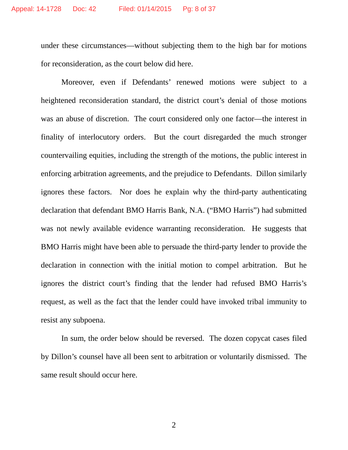under these circumstances—without subjecting them to the high bar for motions for reconsideration, as the court below did here.

Moreover, even if Defendants' renewed motions were subject to a heightened reconsideration standard, the district court's denial of those motions was an abuse of discretion. The court considered only one factor—the interest in finality of interlocutory orders. But the court disregarded the much stronger countervailing equities, including the strength of the motions, the public interest in enforcing arbitration agreements, and the prejudice to Defendants. Dillon similarly ignores these factors. Nor does he explain why the third-party authenticating declaration that defendant BMO Harris Bank, N.A. ("BMO Harris") had submitted was not newly available evidence warranting reconsideration. He suggests that BMO Harris might have been able to persuade the third-party lender to provide the declaration in connection with the initial motion to compel arbitration. But he ignores the district court's finding that the lender had refused BMO Harris's request, as well as the fact that the lender could have invoked tribal immunity to resist any subpoena.

In sum, the order below should be reversed. The dozen copycat cases filed by Dillon's counsel have all been sent to arbitration or voluntarily dismissed. The same result should occur here.

2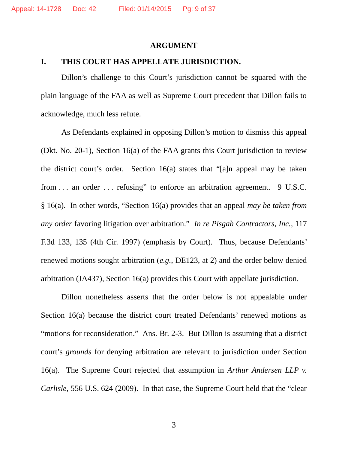#### **ARGUMENT**

#### **I. THIS COURT HAS APPELLATE JURISDICTION.**

Dillon's challenge to this Court's jurisdiction cannot be squared with the plain language of the FAA as well as Supreme Court precedent that Dillon fails to acknowledge, much less refute.

As Defendants explained in opposing Dillon's motion to dismiss this appeal (Dkt. No. 20-1), Section 16(a) of the FAA grants this Court jurisdiction to review the district court's order. Section 16(a) states that "[a]n appeal may be taken from . . . an order . . . refusing" to enforce an arbitration agreement. 9 U.S.C. § 16(a). In other words, "Section 16(a) provides that an appeal *may be taken from any order* favoring litigation over arbitration." *In re Pisgah Contractors, Inc.*, 117 F.3d 133, 135 (4th Cir. 1997) (emphasis by Court). Thus, because Defendants' renewed motions sought arbitration (*e.g.*, DE123, at 2) and the order below denied arbitration (JA437), Section 16(a) provides this Court with appellate jurisdiction.

Dillon nonetheless asserts that the order below is not appealable under Section 16(a) because the district court treated Defendants' renewed motions as "motions for reconsideration." Ans. Br. 2-3. But Dillon is assuming that a district court's *grounds* for denying arbitration are relevant to jurisdiction under Section 16(a). The Supreme Court rejected that assumption in *Arthur Andersen LLP v. Carlisle*, 556 U.S. 624 (2009). In that case, the Supreme Court held that the "clear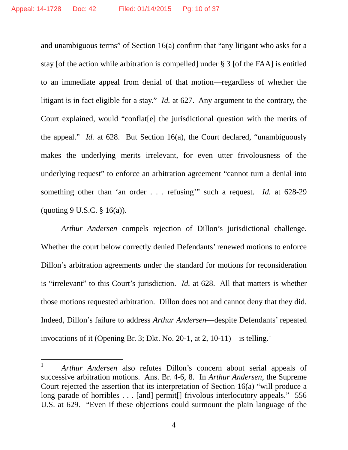and unambiguous terms" of Section 16(a) confirm that "any litigant who asks for a stay [of the action while arbitration is compelled] under § 3 [of the FAA] is entitled to an immediate appeal from denial of that motion—regardless of whether the litigant is in fact eligible for a stay." *Id.* at 627. Any argument to the contrary, the Court explained, would "conflat[e] the jurisdictional question with the merits of the appeal." *Id.* at 628. But Section 16(a), the Court declared, "unambiguously makes the underlying merits irrelevant, for even utter frivolousness of the underlying request" to enforce an arbitration agreement "cannot turn a denial into something other than 'an order . . . refusing'" such a request. *Id.* at 628-29 (quoting 9 U.S.C.  $\S$  16(a)).

*Arthur Andersen* compels rejection of Dillon's jurisdictional challenge. Whether the court below correctly denied Defendants' renewed motions to enforce Dillon's arbitration agreements under the standard for motions for reconsideration is "irrelevant" to this Court's jurisdiction. *Id.* at 628. All that matters is whether those motions requested arbitration. Dillon does not and cannot deny that they did. Indeed, Dillon's failure to address *Arthur Andersen*—despite Defendants' repeated invocations of it (Opening Br. 3; Dkt. No. 20-1, at 2, 10-11)—is telling.<sup>1</sup>

<sup>1</sup> *Arthur Andersen* also refutes Dillon's concern about serial appeals of successive arbitration motions. Ans. Br. 4-6, 8. In *Arthur Andersen*, the Supreme Court rejected the assertion that its interpretation of Section 16(a) "will produce a long parade of horribles . . . [and] permit<sup>[]</sup> frivolous interlocutory appeals." 556 U.S. at 629. "Even if these objections could surmount the plain language of the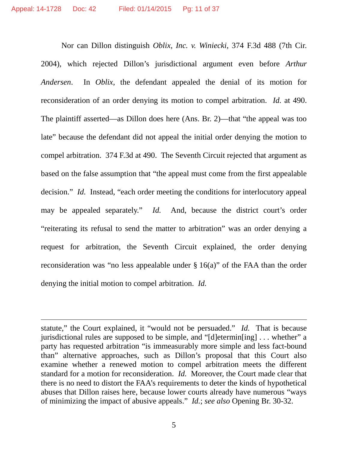Nor can Dillon distinguish *Oblix, Inc. v. Winiecki*, 374 F.3d 488 (7th Cir. 2004), which rejected Dillon's jurisdictional argument even before *Arthur Andersen*. In *Oblix*, the defendant appealed the denial of its motion for reconsideration of an order denying its motion to compel arbitration. *Id.* at 490. The plaintiff asserted—as Dillon does here (Ans. Br. 2)—that "the appeal was too late" because the defendant did not appeal the initial order denying the motion to compel arbitration. 374 F.3d at 490. The Seventh Circuit rejected that argument as based on the false assumption that "the appeal must come from the first appealable decision." *Id.* Instead, "each order meeting the conditions for interlocutory appeal may be appealed separately." *Id.* And, because the district court's order "reiterating its refusal to send the matter to arbitration" was an order denying a request for arbitration, the Seventh Circuit explained, the order denying reconsideration was "no less appealable under § 16(a)" of the FAA than the order denying the initial motion to compel arbitration. *Id.*

statute," the Court explained, it "would not be persuaded." *Id.* That is because jurisdictional rules are supposed to be simple, and "[d]etermin[ing] . . . whether" a party has requested arbitration "is immeasurably more simple and less fact-bound than" alternative approaches, such as Dillon's proposal that this Court also examine whether a renewed motion to compel arbitration meets the different standard for a motion for reconsideration. *Id.* Moreover, the Court made clear that there is no need to distort the FAA's requirements to deter the kinds of hypothetical abuses that Dillon raises here, because lower courts already have numerous "ways of minimizing the impact of abusive appeals." *Id.*; *see also* Opening Br. 30-32.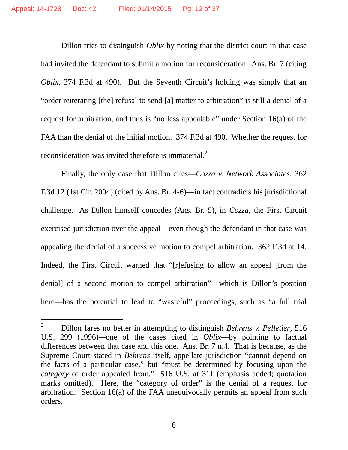Dillon tries to distinguish *Oblix* by noting that the district court in that case had invited the defendant to submit a motion for reconsideration. Ans. Br. 7 (citing *Oblix*, 374 F.3d at 490). But the Seventh Circuit's holding was simply that an "order reiterating [the] refusal to send [a] matter to arbitration" is still a denial of a request for arbitration, and thus is "no less appealable" under Section 16(a) of the FAA than the denial of the initial motion. 374 F.3d at 490. Whether the request for reconsideration was invited therefore is immaterial.<sup>2</sup>

Finally, the only case that Dillon cites—*Cozza v. Network Associates*, 362 F.3d 12 (1st Cir. 2004) (cited by Ans. Br. 4-6)—in fact contradicts his jurisdictional challenge. As Dillon himself concedes (Ans. Br. 5), in *Cozza*, the First Circuit exercised jurisdiction over the appeal—even though the defendant in that case was appealing the denial of a successive motion to compel arbitration. 362 F.3d at 14. Indeed, the First Circuit warned that "[r]efusing to allow an appeal [from the denial] of a second motion to compel arbitration"—which is Dillon's position here—has the potential to lead to "wasteful" proceedings, such as "a full trial

6

<sup>2</sup> Dillon fares no better in attempting to distinguish *Behrens v. Pelletier*, 516 U.S. 299 (1996)*—*one of the cases cited in *Oblix*—by pointing to factual differences between that case and this one. Ans. Br. 7 n.4. That is because, as the Supreme Court stated in *Behrens* itself, appellate jurisdiction "cannot depend on the facts of a particular case," but "must be determined by focusing upon the *category* of order appealed from." 516 U.S. at 311 (emphasis added; quotation marks omitted). Here, the "category of order" is the denial of a request for arbitration. Section 16(a) of the FAA unequivocally permits an appeal from such orders.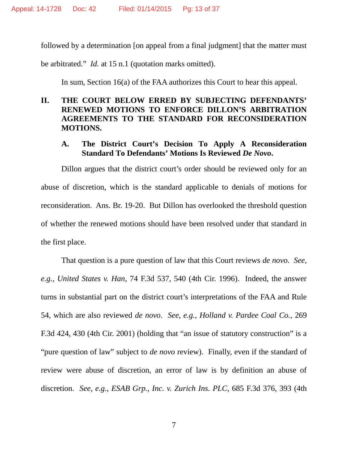followed by a determination [on appeal from a final judgment] that the matter must

be arbitrated." *Id.* at 15 n.1 (quotation marks omitted).

In sum, Section 16(a) of the FAA authorizes this Court to hear this appeal.

### **II. THE COURT BELOW ERRED BY SUBJECTING DEFENDANTS' RENEWED MOTIONS TO ENFORCE DILLON'S ARBITRATION AGREEMENTS TO THE STANDARD FOR RECONSIDERATION MOTIONS.**

### **A. The District Court's Decision To Apply A Reconsideration Standard To Defendants' Motions Is Reviewed** *De Novo***.**

Dillon argues that the district court's order should be reviewed only for an abuse of discretion, which is the standard applicable to denials of motions for reconsideration. Ans. Br. 19-20. But Dillon has overlooked the threshold question of whether the renewed motions should have been resolved under that standard in the first place.

That question is a pure question of law that this Court reviews *de novo*. *See*, *e.g.*, *United States v. Han*, 74 F.3d 537, 540 (4th Cir. 1996). Indeed, the answer turns in substantial part on the district court's interpretations of the FAA and Rule 54, which are also reviewed *de novo*. *See*, *e.g.*, *Holland v. Pardee Coal Co.*, 269 F.3d 424, 430 (4th Cir. 2001) (holding that "an issue of statutory construction" is a "pure question of law" subject to *de novo* review). Finally, even if the standard of review were abuse of discretion, an error of law is by definition an abuse of discretion. *See*, *e.g.*, *ESAB Grp., Inc. v. Zurich Ins. PLC*, 685 F.3d 376, 393 (4th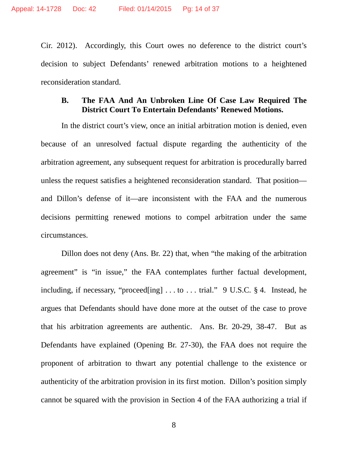Cir. 2012). Accordingly, this Court owes no deference to the district court's decision to subject Defendants' renewed arbitration motions to a heightened reconsideration standard.

### **B. The FAA And An Unbroken Line Of Case Law Required The District Court To Entertain Defendants' Renewed Motions.**

In the district court's view, once an initial arbitration motion is denied, even because of an unresolved factual dispute regarding the authenticity of the arbitration agreement, any subsequent request for arbitration is procedurally barred unless the request satisfies a heightened reconsideration standard. That position and Dillon's defense of it—are inconsistent with the FAA and the numerous decisions permitting renewed motions to compel arbitration under the same circumstances.

Dillon does not deny (Ans. Br. 22) that, when "the making of the arbitration agreement" is "in issue," the FAA contemplates further factual development, including, if necessary, "proceed[ing] . . . to . . . trial." 9 U.S.C. § 4. Instead, he argues that Defendants should have done more at the outset of the case to prove that his arbitration agreements are authentic. Ans. Br. 20-29, 38-47. But as Defendants have explained (Opening Br. 27-30), the FAA does not require the proponent of arbitration to thwart any potential challenge to the existence or authenticity of the arbitration provision in its first motion. Dillon's position simply cannot be squared with the provision in Section 4 of the FAA authorizing a trial if

8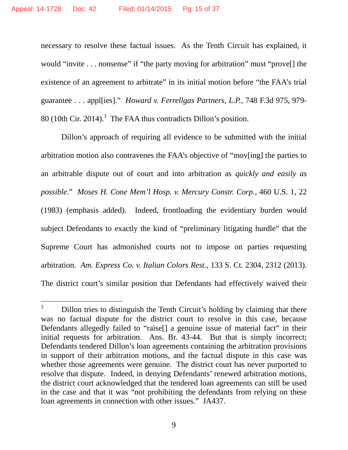necessary to resolve these factual issues. As the Tenth Circuit has explained, it would "invite . . . nonsense" if "the party moving for arbitration" must "provell the existence of an agreement to arbitrate" in its initial motion before "the FAA's trial guarantee . . . appl[ies]." *Howard v. Ferrellgas Partners, L.P.*, 748 F.3d 975, 979- 80 (10th Cir. 2014).<sup>3</sup> The FAA thus contradicts Dillon's position.

Dillon's approach of requiring all evidence to be submitted with the initial arbitration motion also contravenes the FAA's objective of "mov[ing] the parties to an arbitrable dispute out of court and into arbitration as *quickly and easily as possible*." *Moses H. Cone Mem'l Hosp. v. Mercury Constr. Corp.*, 460 U.S. 1, 22 (1983) (emphasis added). Indeed, frontloading the evidentiary burden would subject Defendants to exactly the kind of "preliminary litigating hurdle" that the Supreme Court has admonished courts not to impose on parties requesting arbitration. *Am. Express Co. v. Italian Colors Rest.*, 133 S. Ct. 2304, 2312 (2013). The district court's similar position that Defendants had effectively waived their

 $3$  Dillon tries to distinguish the Tenth Circuit's holding by claiming that there was no factual dispute for the district court to resolve in this case, because Defendants allegedly failed to "raise<sup>[]</sup> a genuine issue of material fact" in their initial requests for arbitration. Ans. Br. 43-44. But that is simply incorrect; Defendants tendered Dillon's loan agreements containing the arbitration provisions in support of their arbitration motions, and the factual dispute in this case was whether those agreements were genuine. The district court has never purported to resolve that dispute. Indeed, in denying Defendants' renewed arbitration motions, the district court acknowledged that the tendered loan agreements can still be used in the case and that it was "not prohibiting the defendants from relying on these loan agreements in connection with other issues." JA437.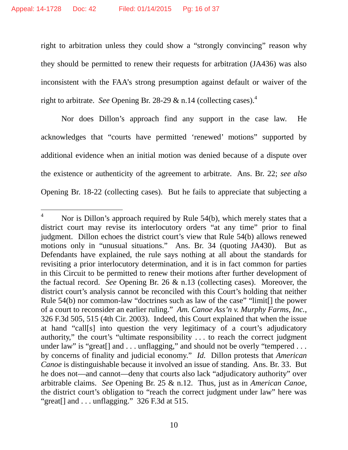right to arbitration unless they could show a "strongly convincing" reason why they should be permitted to renew their requests for arbitration (JA436) was also inconsistent with the FAA's strong presumption against default or waiver of the right to arbitrate. *See* Opening Br. 28-29 & n.14 (collecting cases).<sup>4</sup>

Nor does Dillon's approach find any support in the case law. He acknowledges that "courts have permitted 'renewed' motions" supported by additional evidence when an initial motion was denied because of a dispute over the existence or authenticity of the agreement to arbitrate. Ans. Br. 22; *see also* Opening Br. 18-22 (collecting cases). But he fails to appreciate that subjecting a

Nor is Dillon's approach required by Rule 54(b), which merely states that a district court may revise its interlocutory orders "at any time" prior to final judgment. Dillon echoes the district court's view that Rule 54(b) allows renewed motions only in "unusual situations." Ans. Br. 34 (quoting JA430). But as Defendants have explained, the rule says nothing at all about the standards for revisiting a prior interlocutory determination, and it is in fact common for parties in this Circuit to be permitted to renew their motions after further development of the factual record. *See* Opening Br. 26 & n.13 (collecting cases). Moreover, the district court's analysis cannot be reconciled with this Court's holding that neither Rule 54(b) nor common-law "doctrines such as law of the case" "limit. The power of a court to reconsider an earlier ruling." *Am. Canoe Ass'n v. Murphy Farms, Inc.*, 326 F.3d 505, 515 (4th Cir. 2003). Indeed, this Court explained that when the issue at hand "call[s] into question the very legitimacy of a court's adjudicatory authority," the court's "ultimate responsibility . . . to reach the correct judgment under law" is "great[] and . . . unflagging," and should not be overly "tempered . . . by concerns of finality and judicial economy." *Id.* Dillon protests that *American Canoe* is distinguishable because it involved an issue of standing. Ans. Br. 33. But he does not—and cannot—deny that courts also lack "adjudicatory authority" over arbitrable claims. *See* Opening Br. 25 & n.12. Thus, just as in *American Canoe*, the district court's obligation to "reach the correct judgment under law" here was "great[] and . . . unflagging." 326 F.3d at 515.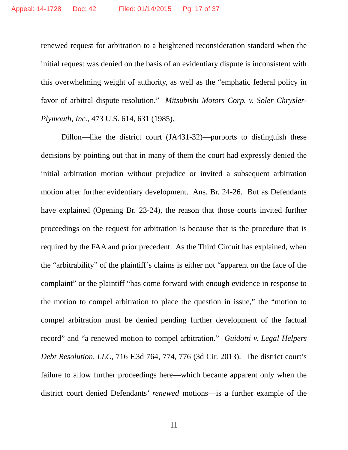renewed request for arbitration to a heightened reconsideration standard when the initial request was denied on the basis of an evidentiary dispute is inconsistent with this overwhelming weight of authority, as well as the "emphatic federal policy in favor of arbitral dispute resolution." *Mitsubishi Motors Corp. v. Soler Chrysler-Plymouth, Inc.*, 473 U.S. 614, 631 (1985).

Dillon—like the district court (JA431-32)—purports to distinguish these decisions by pointing out that in many of them the court had expressly denied the initial arbitration motion without prejudice or invited a subsequent arbitration motion after further evidentiary development. Ans. Br. 24-26. But as Defendants have explained (Opening Br. 23-24), the reason that those courts invited further proceedings on the request for arbitration is because that is the procedure that is required by the FAA and prior precedent. As the Third Circuit has explained, when the "arbitrability" of the plaintiff's claims is either not "apparent on the face of the complaint" or the plaintiff "has come forward with enough evidence in response to the motion to compel arbitration to place the question in issue," the "motion to compel arbitration must be denied pending further development of the factual record" and "a renewed motion to compel arbitration." *Guidotti v. Legal Helpers Debt Resolution, LLC*, 716 F.3d 764, 774, 776 (3d Cir. 2013). The district court's failure to allow further proceedings here—which became apparent only when the district court denied Defendants' *renewed* motions—is a further example of the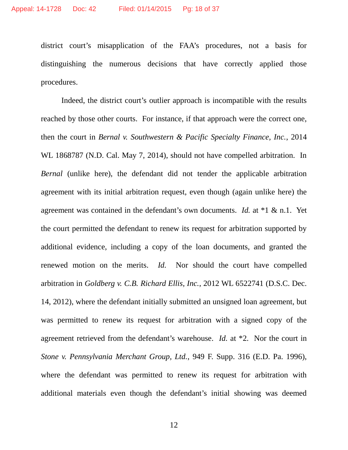district court's misapplication of the FAA's procedures, not a basis for distinguishing the numerous decisions that have correctly applied those procedures.

Indeed, the district court's outlier approach is incompatible with the results reached by those other courts. For instance, if that approach were the correct one, then the court in *Bernal v. Southwestern & Pacific Specialty Finance, Inc.*, 2014 WL 1868787 (N.D. Cal. May 7, 2014), should not have compelled arbitration. In *Bernal* (unlike here), the defendant did not tender the applicable arbitration agreement with its initial arbitration request, even though (again unlike here) the agreement was contained in the defendant's own documents. *Id.* at \*1 & n.1. Yet the court permitted the defendant to renew its request for arbitration supported by additional evidence, including a copy of the loan documents, and granted the renewed motion on the merits. *Id.* Nor should the court have compelled arbitration in *Goldberg v. C.B. Richard Ellis, Inc.*, 2012 WL 6522741 (D.S.C. Dec. 14, 2012), where the defendant initially submitted an unsigned loan agreement, but was permitted to renew its request for arbitration with a signed copy of the agreement retrieved from the defendant's warehouse. *Id.* at \*2. Nor the court in *Stone v. Pennsylvania Merchant Group, Ltd.*, 949 F. Supp. 316 (E.D. Pa. 1996), where the defendant was permitted to renew its request for arbitration with additional materials even though the defendant's initial showing was deemed

12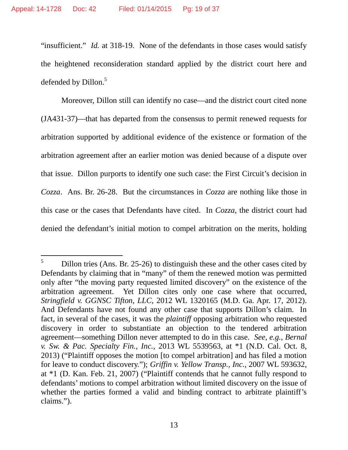"insufficient." *Id.* at 318-19. None of the defendants in those cases would satisfy the heightened reconsideration standard applied by the district court here and defended by Dillon.<sup>5</sup>

Moreover, Dillon still can identify no case—and the district court cited none (JA431-37)—that has departed from the consensus to permit renewed requests for arbitration supported by additional evidence of the existence or formation of the arbitration agreement after an earlier motion was denied because of a dispute over that issue. Dillon purports to identify one such case: the First Circuit's decision in *Cozza*. Ans. Br. 26-28. But the circumstances in *Cozza* are nothing like those in this case or the cases that Defendants have cited. In *Cozza*, the district court had denied the defendant's initial motion to compel arbitration on the merits, holding

 $5$  Dillon tries (Ans. Br. 25-26) to distinguish these and the other cases cited by Defendants by claiming that in "many" of them the renewed motion was permitted only after "the moving party requested limited discovery" on the existence of the arbitration agreement. Yet Dillon cites only one case where that occurred, *Stringfield v. GGNSC Tifton, LLC*, 2012 WL 1320165 (M.D. Ga. Apr. 17, 2012). And Defendants have not found any other case that supports Dillon's claim. In fact, in several of the cases, it was the *plaintiff* opposing arbitration who requested discovery in order to substantiate an objection to the tendered arbitration agreement—something Dillon never attempted to do in this case. *See*, *e.g.*, *Bernal v. Sw. & Pac. Specialty Fin., Inc.*, 2013 WL 5539563, at \*1 (N.D. Cal. Oct. 8, 2013) ("Plaintiff opposes the motion [to compel arbitration] and has filed a motion for leave to conduct discovery."); *Griffin v. Yellow Transp., Inc.*, 2007 WL 593632, at \*1 (D. Kan. Feb. 21, 2007) ("Plaintiff contends that he cannot fully respond to defendants' motions to compel arbitration without limited discovery on the issue of whether the parties formed a valid and binding contract to arbitrate plaintiff's claims.").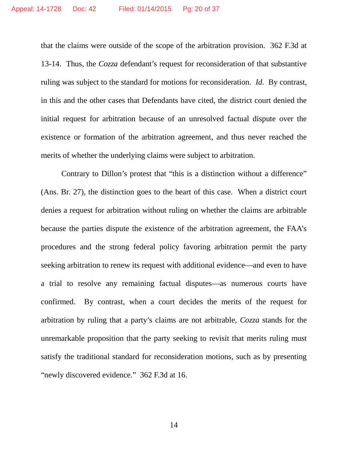that the claims were outside of the scope of the arbitration provision. 362 F.3d at 13-14. Thus, the *Cozza* defendant's request for reconsideration of that substantive ruling was subject to the standard for motions for reconsideration. *Id.* By contrast, in this and the other cases that Defendants have cited, the district court denied the initial request for arbitration because of an unresolved factual dispute over the existence or formation of the arbitration agreement, and thus never reached the merits of whether the underlying claims were subject to arbitration.

Contrary to Dillon's protest that "this is a distinction without a difference" (Ans. Br. 27), the distinction goes to the heart of this case. When a district court denies a request for arbitration without ruling on whether the claims are arbitrable because the parties dispute the existence of the arbitration agreement, the FAA's procedures and the strong federal policy favoring arbitration permit the party seeking arbitration to renew its request with additional evidence—and even to have a trial to resolve any remaining factual disputes—as numerous courts have confirmed. By contrast, when a court decides the merits of the request for arbitration by ruling that a party's claims are not arbitrable, *Cozza* stands for the unremarkable proposition that the party seeking to revisit that merits ruling must satisfy the traditional standard for reconsideration motions, such as by presenting "newly discovered evidence." 362 F.3d at 16.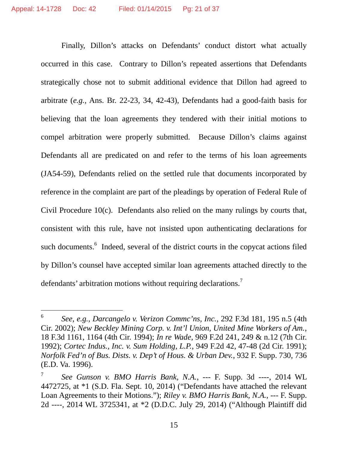Finally, Dillon's attacks on Defendants' conduct distort what actually occurred in this case. Contrary to Dillon's repeated assertions that Defendants strategically chose not to submit additional evidence that Dillon had agreed to arbitrate (*e.g.*, Ans. Br. 22-23, 34, 42-43), Defendants had a good-faith basis for believing that the loan agreements they tendered with their initial motions to compel arbitration were properly submitted. Because Dillon's claims against Defendants all are predicated on and refer to the terms of his loan agreements (JA54-59), Defendants relied on the settled rule that documents incorporated by reference in the complaint are part of the pleadings by operation of Federal Rule of Civil Procedure 10(c). Defendants also relied on the many rulings by courts that, consistent with this rule, have not insisted upon authenticating declarations for such documents.<sup>6</sup> Indeed, several of the district courts in the copycat actions filed by Dillon's counsel have accepted similar loan agreements attached directly to the defendants' arbitration motions without requiring declarations.<sup>7</sup>

<sup>6</sup> *See*, *e.g.*, *Darcangelo v. Verizon Commc'ns, Inc.*, 292 F.3d 181, 195 n.5 (4th Cir. 2002); *New Beckley Mining Corp. v. Int'l Union, United Mine Workers of Am.*, 18 F.3d 1161, 1164 (4th Cir. 1994); *In re Wade*, 969 F.2d 241, 249 & n.12 (7th Cir. 1992); *Cortec Indus., Inc. v. Sum Holding, L.P.*, 949 F.2d 42, 47-48 (2d Cir. 1991); *Norfolk Fed'n of Bus. Dists. v. Dep't of Hous. & Urban Dev.*, 932 F. Supp. 730, 736 (E.D. Va. 1996).

<sup>7</sup> *See Gunson v. BMO Harris Bank, N.A.*, --- F. Supp. 3d ----, 2014 WL 4472725, at \*1 (S.D. Fla. Sept. 10, 2014) ("Defendants have attached the relevant Loan Agreements to their Motions."); *Riley v. BMO Harris Bank, N.A.*, --- F. Supp. 2d ----, 2014 WL 3725341, at \*2 (D.D.C. July 29, 2014) ("Although Plaintiff did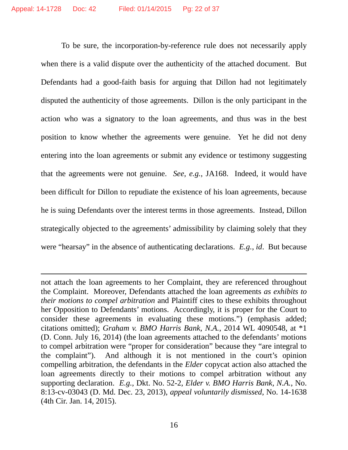To be sure, the incorporation-by-reference rule does not necessarily apply when there is a valid dispute over the authenticity of the attached document. But Defendants had a good-faith basis for arguing that Dillon had not legitimately disputed the authenticity of those agreements. Dillon is the only participant in the action who was a signatory to the loan agreements, and thus was in the best position to know whether the agreements were genuine. Yet he did not deny entering into the loan agreements or submit any evidence or testimony suggesting that the agreements were not genuine. *See*, *e.g.*, JA168. Indeed, it would have been difficult for Dillon to repudiate the existence of his loan agreements, because he is suing Defendants over the interest terms in those agreements. Instead, Dillon strategically objected to the agreements' admissibility by claiming solely that they were "hearsay" in the absence of authenticating declarations. *E.g.*, *id*. But because

not attach the loan agreements to her Complaint, they are referenced throughout the Complaint. Moreover, Defendants attached the loan agreements *as exhibits to their motions to compel arbitration* and Plaintiff cites to these exhibits throughout her Opposition to Defendants' motions. Accordingly, it is proper for the Court to consider these agreements in evaluating these motions.") (emphasis added; citations omitted); *Graham v. BMO Harris Bank, N.A.*, 2014 WL 4090548, at \*1 (D. Conn. July 16, 2014) (the loan agreements attached to the defendants' motions to compel arbitration were "proper for consideration" because they "are integral to the complaint"). And although it is not mentioned in the court's opinion compelling arbitration, the defendants in the *Elder* copycat action also attached the loan agreements directly to their motions to compel arbitration without any supporting declaration. *E.g.*, Dkt. No. 52-2, *Elder v. BMO Harris Bank, N.A.*, No. 8:13-cv-03043 (D. Md. Dec. 23, 2013), *appeal voluntarily dismissed*, No. 14-1638 (4th Cir. Jan. 14, 2015).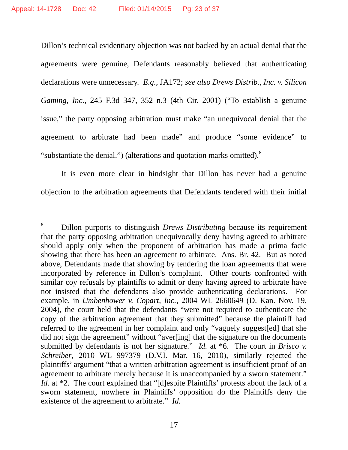Dillon's technical evidentiary objection was not backed by an actual denial that the agreements were genuine, Defendants reasonably believed that authenticating declarations were unnecessary. *E.g.*, JA172; *see also Drews Distrib., Inc. v. Silicon Gaming, Inc.*, 245 F.3d 347, 352 n.3 (4th Cir. 2001) ("To establish a genuine issue," the party opposing arbitration must make "an unequivocal denial that the agreement to arbitrate had been made" and produce "some evidence" to "substantiate the denial.") (alterations and quotation marks omitted).<sup>8</sup>

It is even more clear in hindsight that Dillon has never had a genuine objection to the arbitration agreements that Defendants tendered with their initial

<sup>8</sup> Dillon purports to distinguish *Drews Distributing* because its requirement that the party opposing arbitration unequivocally deny having agreed to arbitrate should apply only when the proponent of arbitration has made a prima facie showing that there has been an agreement to arbitrate. Ans. Br. 42. But as noted above, Defendants made that showing by tendering the loan agreements that were incorporated by reference in Dillon's complaint. Other courts confronted with similar coy refusals by plaintiffs to admit or deny having agreed to arbitrate have not insisted that the defendants also provide authenticating declarations. For example, in *Umbenhower v. Copart, Inc.*, 2004 WL 2660649 (D. Kan. Nov. 19, 2004), the court held that the defendants "were not required to authenticate the copy of the arbitration agreement that they submitted" because the plaintiff had referred to the agreement in her complaint and only "vaguely suggest[ed] that she did not sign the agreement" without "aver[ing] that the signature on the documents submitted by defendants is not her signature." *Id.* at \*6. The court in *Brisco v. Schreiber*, 2010 WL 997379 (D.V.I. Mar. 16, 2010), similarly rejected the plaintiffs' argument "that a written arbitration agreement is insufficient proof of an agreement to arbitrate merely because it is unaccompanied by a sworn statement." *Id.* at \*2. The court explained that "[d]espite Plaintiffs' protests about the lack of a sworn statement, nowhere in Plaintiffs' opposition do the Plaintiffs deny the existence of the agreement to arbitrate." *Id.*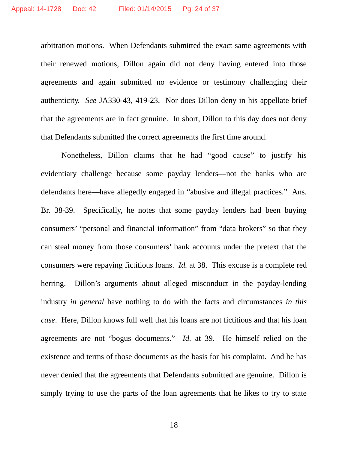arbitration motions. When Defendants submitted the exact same agreements with their renewed motions, Dillon again did not deny having entered into those agreements and again submitted no evidence or testimony challenging their authenticity. *See* JA330-43, 419-23. Nor does Dillon deny in his appellate brief that the agreements are in fact genuine. In short, Dillon to this day does not deny that Defendants submitted the correct agreements the first time around.

Nonetheless, Dillon claims that he had "good cause" to justify his evidentiary challenge because some payday lenders—not the banks who are defendants here—have allegedly engaged in "abusive and illegal practices." Ans. Br. 38-39. Specifically, he notes that some payday lenders had been buying consumers' "personal and financial information" from "data brokers" so that they can steal money from those consumers' bank accounts under the pretext that the consumers were repaying fictitious loans. *Id.* at 38. This excuse is a complete red herring. Dillon's arguments about alleged misconduct in the payday-lending industry *in general* have nothing to do with the facts and circumstances *in this case*. Here, Dillon knows full well that his loans are not fictitious and that his loan agreements are not "bogus documents." *Id.* at 39. He himself relied on the existence and terms of those documents as the basis for his complaint. And he has never denied that the agreements that Defendants submitted are genuine. Dillon is simply trying to use the parts of the loan agreements that he likes to try to state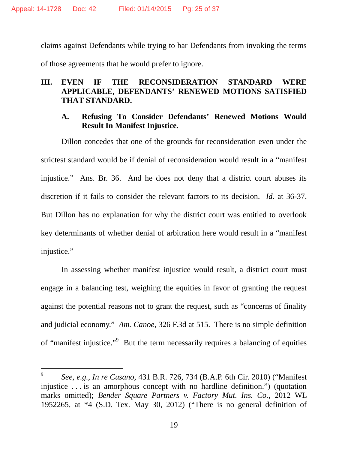claims against Defendants while trying to bar Defendants from invoking the terms of those agreements that he would prefer to ignore.

## **III. EVEN IF THE RECONSIDERATION STANDARD WERE APPLICABLE, DEFENDANTS' RENEWED MOTIONS SATISFIED THAT STANDARD.**

### **A. Refusing To Consider Defendants' Renewed Motions Would Result In Manifest Injustice.**

Dillon concedes that one of the grounds for reconsideration even under the strictest standard would be if denial of reconsideration would result in a "manifest injustice." Ans. Br. 36. And he does not deny that a district court abuses its discretion if it fails to consider the relevant factors to its decision. *Id.* at 36-37. But Dillon has no explanation for why the district court was entitled to overlook key determinants of whether denial of arbitration here would result in a "manifest injustice."

In assessing whether manifest injustice would result, a district court must engage in a balancing test, weighing the equities in favor of granting the request against the potential reasons not to grant the request, such as "concerns of finality and judicial economy." *Am. Canoe*, 326 F.3d at 515. There is no simple definition of "manifest injustice."<sup>9</sup> But the term necessarily requires a balancing of equities

<sup>9</sup> *See*, *e.g.*, *In re Cusano*, 431 B.R. 726, 734 (B.A.P. 6th Cir. 2010) ("Manifest injustice . . . is an amorphous concept with no hardline definition.") (quotation marks omitted); *Bender Square Partners v. Factory Mut. Ins. Co.*, 2012 WL 1952265, at \*4 (S.D. Tex. May 30, 2012) ("There is no general definition of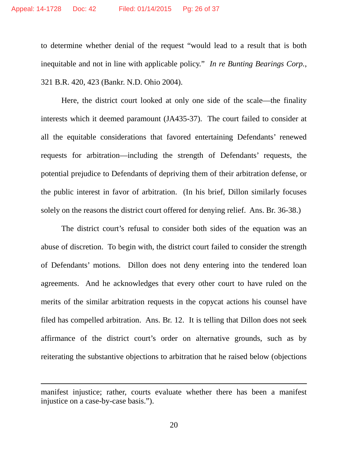to determine whether denial of the request "would lead to a result that is both inequitable and not in line with applicable policy." *In re Bunting Bearings Corp.*, 321 B.R. 420, 423 (Bankr. N.D. Ohio 2004).

Here, the district court looked at only one side of the scale—the finality interests which it deemed paramount (JA435-37). The court failed to consider at all the equitable considerations that favored entertaining Defendants' renewed requests for arbitration—including the strength of Defendants' requests, the potential prejudice to Defendants of depriving them of their arbitration defense, or the public interest in favor of arbitration. (In his brief, Dillon similarly focuses solely on the reasons the district court offered for denying relief. Ans. Br. 36-38.)

The district court's refusal to consider both sides of the equation was an abuse of discretion. To begin with, the district court failed to consider the strength of Defendants' motions. Dillon does not deny entering into the tendered loan agreements. And he acknowledges that every other court to have ruled on the merits of the similar arbitration requests in the copycat actions his counsel have filed has compelled arbitration. Ans. Br. 12. It is telling that Dillon does not seek affirmance of the district court's order on alternative grounds, such as by reiterating the substantive objections to arbitration that he raised below (objections

20

manifest injustice; rather, courts evaluate whether there has been a manifest injustice on a case-by-case basis.").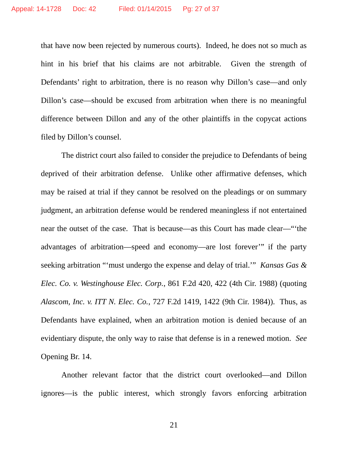that have now been rejected by numerous courts). Indeed, he does not so much as hint in his brief that his claims are not arbitrable. Given the strength of Defendants' right to arbitration, there is no reason why Dillon's case—and only Dillon's case—should be excused from arbitration when there is no meaningful difference between Dillon and any of the other plaintiffs in the copycat actions filed by Dillon's counsel.

The district court also failed to consider the prejudice to Defendants of being deprived of their arbitration defense. Unlike other affirmative defenses, which may be raised at trial if they cannot be resolved on the pleadings or on summary judgment, an arbitration defense would be rendered meaningless if not entertained near the outset of the case. That is because—as this Court has made clear—"'the advantages of arbitration—speed and economy—are lost forever'" if the party seeking arbitration "'must undergo the expense and delay of trial.'" *Kansas Gas & Elec. Co. v. Westinghouse Elec. Corp.*, 861 F.2d 420, 422 (4th Cir. 1988) (quoting *Alascom, Inc. v. ITT N. Elec. Co.*, 727 F.2d 1419, 1422 (9th Cir. 1984)). Thus, as Defendants have explained, when an arbitration motion is denied because of an evidentiary dispute, the only way to raise that defense is in a renewed motion. *See* Opening Br. 14.

Another relevant factor that the district court overlooked—and Dillon ignores—is the public interest, which strongly favors enforcing arbitration

21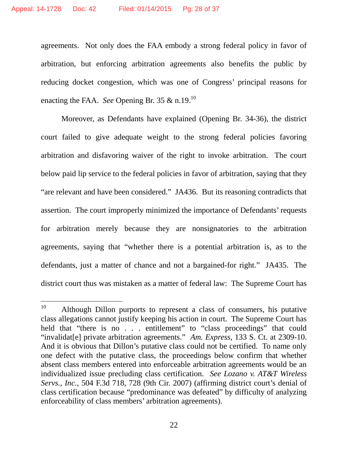agreements. Not only does the FAA embody a strong federal policy in favor of arbitration, but enforcing arbitration agreements also benefits the public by reducing docket congestion, which was one of Congress' principal reasons for enacting the FAA. *See* Opening Br. 35 & n.19.<sup>10</sup>

Moreover, as Defendants have explained (Opening Br. 34-36), the district court failed to give adequate weight to the strong federal policies favoring arbitration and disfavoring waiver of the right to invoke arbitration. The court below paid lip service to the federal policies in favor of arbitration, saying that they "are relevant and have been considered." JA436. But its reasoning contradicts that assertion. The court improperly minimized the importance of Defendants' requests for arbitration merely because they are nonsignatories to the arbitration agreements, saying that "whether there is a potential arbitration is, as to the defendants, just a matter of chance and not a bargained-for right." JA435. The district court thus was mistaken as a matter of federal law: The Supreme Court has

<sup>&</sup>lt;sup>10</sup> Although Dillon purports to represent a class of consumers, his putative class allegations cannot justify keeping his action in court. The Supreme Court has held that "there is no . . . entitlement" to "class proceedings" that could "invalidat[e] private arbitration agreements." *Am. Express*, 133 S. Ct. at 2309-10. And it is obvious that Dillon's putative class could not be certified. To name only one defect with the putative class, the proceedings below confirm that whether absent class members entered into enforceable arbitration agreements would be an individualized issue precluding class certification. *See Lozano v. AT&T Wireless Servs., Inc.*, 504 F.3d 718, 728 (9th Cir. 2007) (affirming district court's denial of class certification because "predominance was defeated" by difficulty of analyzing enforceability of class members' arbitration agreements).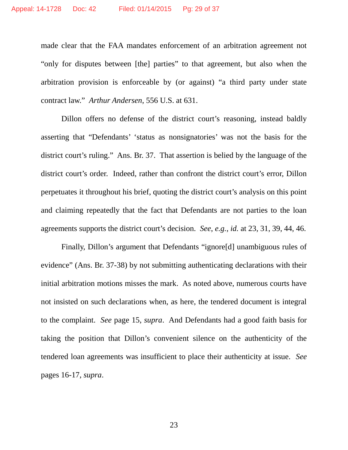made clear that the FAA mandates enforcement of an arbitration agreement not "only for disputes between [the] parties" to that agreement, but also when the arbitration provision is enforceable by (or against) "a third party under state contract law." *Arthur Andersen*, 556 U.S. at 631.

Dillon offers no defense of the district court's reasoning, instead baldly asserting that "Defendants' 'status as nonsignatories' was not the basis for the district court's ruling." Ans. Br. 37. That assertion is belied by the language of the district court's order. Indeed, rather than confront the district court's error, Dillon perpetuates it throughout his brief, quoting the district court's analysis on this point and claiming repeatedly that the fact that Defendants are not parties to the loan agreements supports the district court's decision. *See*, *e.g.*, *id.* at 23, 31, 39, 44, 46.

Finally, Dillon's argument that Defendants "ignore[d] unambiguous rules of evidence" (Ans. Br. 37-38) by not submitting authenticating declarations with their initial arbitration motions misses the mark. As noted above, numerous courts have not insisted on such declarations when, as here, the tendered document is integral to the complaint. *See* page 15, *supra*. And Defendants had a good faith basis for taking the position that Dillon's convenient silence on the authenticity of the tendered loan agreements was insufficient to place their authenticity at issue. *See* pages 16-17, *supra*.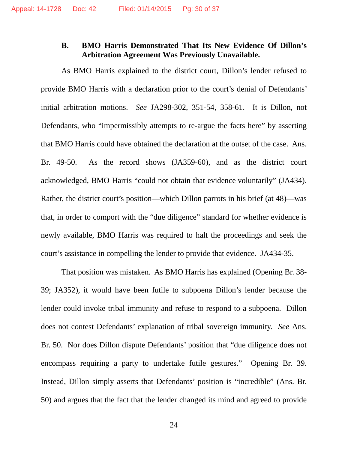### **B. BMO Harris Demonstrated That Its New Evidence Of Dillon's Arbitration Agreement Was Previously Unavailable.**

As BMO Harris explained to the district court, Dillon's lender refused to provide BMO Harris with a declaration prior to the court's denial of Defendants' initial arbitration motions. *See* JA298-302, 351-54, 358-61. It is Dillon, not Defendants, who "impermissibly attempts to re-argue the facts here" by asserting that BMO Harris could have obtained the declaration at the outset of the case. Ans. Br. 49-50. As the record shows (JA359-60), and as the district court acknowledged, BMO Harris "could not obtain that evidence voluntarily" (JA434). Rather, the district court's position—which Dillon parrots in his brief (at 48)—was that, in order to comport with the "due diligence" standard for whether evidence is newly available, BMO Harris was required to halt the proceedings and seek the court's assistance in compelling the lender to provide that evidence. JA434-35.

That position was mistaken. As BMO Harris has explained (Opening Br. 38- 39; JA352), it would have been futile to subpoena Dillon's lender because the lender could invoke tribal immunity and refuse to respond to a subpoena. Dillon does not contest Defendants' explanation of tribal sovereign immunity. *See* Ans. Br. 50. Nor does Dillon dispute Defendants' position that "due diligence does not encompass requiring a party to undertake futile gestures." Opening Br. 39. Instead, Dillon simply asserts that Defendants' position is "incredible" (Ans. Br. 50) and argues that the fact that the lender changed its mind and agreed to provide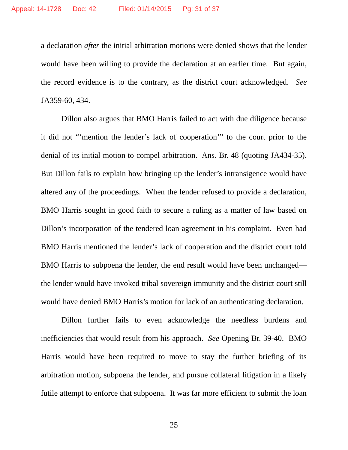a declaration *after* the initial arbitration motions were denied shows that the lender would have been willing to provide the declaration at an earlier time. But again, the record evidence is to the contrary, as the district court acknowledged. *See* JA359-60, 434.

Dillon also argues that BMO Harris failed to act with due diligence because it did not "'mention the lender's lack of cooperation'" to the court prior to the denial of its initial motion to compel arbitration. Ans. Br. 48 (quoting JA434-35). But Dillon fails to explain how bringing up the lender's intransigence would have altered any of the proceedings. When the lender refused to provide a declaration, BMO Harris sought in good faith to secure a ruling as a matter of law based on Dillon's incorporation of the tendered loan agreement in his complaint. Even had BMO Harris mentioned the lender's lack of cooperation and the district court told BMO Harris to subpoena the lender, the end result would have been unchanged the lender would have invoked tribal sovereign immunity and the district court still would have denied BMO Harris's motion for lack of an authenticating declaration.

Dillon further fails to even acknowledge the needless burdens and inefficiencies that would result from his approach. *See* Opening Br. 39-40. BMO Harris would have been required to move to stay the further briefing of its arbitration motion, subpoena the lender, and pursue collateral litigation in a likely futile attempt to enforce that subpoena. It was far more efficient to submit the loan

25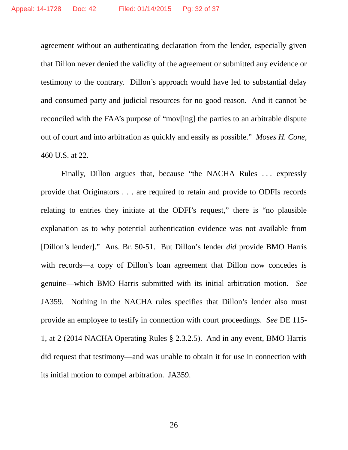agreement without an authenticating declaration from the lender, especially given that Dillon never denied the validity of the agreement or submitted any evidence or testimony to the contrary. Dillon's approach would have led to substantial delay and consumed party and judicial resources for no good reason. And it cannot be reconciled with the FAA's purpose of "mov[ing] the parties to an arbitrable dispute out of court and into arbitration as quickly and easily as possible." *Moses H. Cone*, 460 U.S. at 22.

Finally, Dillon argues that, because "the NACHA Rules ... expressly provide that Originators . . . are required to retain and provide to ODFIs records relating to entries they initiate at the ODFI's request," there is "no plausible explanation as to why potential authentication evidence was not available from [Dillon's lender]." Ans. Br. 50-51. But Dillon's lender *did* provide BMO Harris with records—a copy of Dillon's loan agreement that Dillon now concedes is genuine—which BMO Harris submitted with its initial arbitration motion. *See* JA359. Nothing in the NACHA rules specifies that Dillon's lender also must provide an employee to testify in connection with court proceedings. *See* DE 115- 1, at 2 (2014 NACHA Operating Rules § 2.3.2.5). And in any event, BMO Harris did request that testimony—and was unable to obtain it for use in connection with its initial motion to compel arbitration. JA359.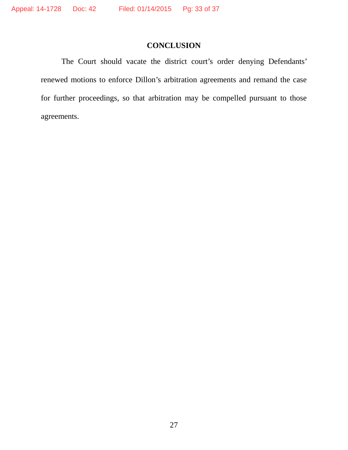## **CONCLUSION**

The Court should vacate the district court's order denying Defendants' renewed motions to enforce Dillon's arbitration agreements and remand the case for further proceedings, so that arbitration may be compelled pursuant to those agreements.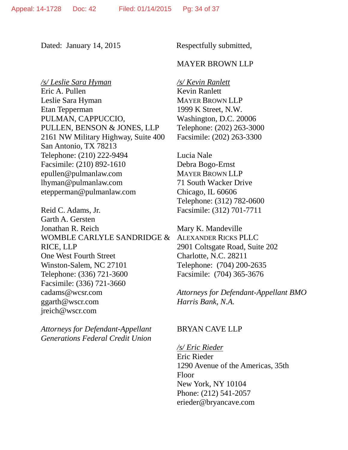Dated: January 14, 2015 Respectfully submitted,

#### MAYER BROWN LLP

*/s/ Leslie Sara Hyman* Eric A. Pullen Leslie Sara Hyman Etan Tepperman PULMAN, CAPPUCCIO, PULLEN, BENSON & JONES, LLP 2161 NW Military Highway, Suite 400 San Antonio, TX 78213 Telephone: (210) 222-9494 Facsimile: (210) 892-1610 epullen@pulmanlaw.com lhyman@pulmanlaw.com etepperman@pulmanlaw.com

Reid C. Adams, Jr. Garth A. Gersten Jonathan R. Reich WOMBLE CARLYLE SANDRIDGE & RICE, LLP One West Fourth Street Winston-Salem, NC 27101 Telephone: (336) 721-3600 Facsimile: (336) 721-3660 cadams@wcsr.com ggarth@wscr.com jreich@wscr.com

*Attorneys for Defendant-Appellant Generations Federal Credit Union* */s/ Kevin Ranlett* Kevin Ranlett MAYER BROWN LLP 1999 K Street, N.W. Washington, D.C. 20006 Telephone: (202) 263-3000 Facsimile: (202) 263-3300

Lucia Nale Debra Bogo-Ernst MAYER BROWN LLP 71 South Wacker Drive Chicago, IL 60606 Telephone: (312) 782-0600 Facsimile: (312) 701-7711

Mary K. Mandeville ALEXANDER RICKS PLLC 2901 Coltsgate Road, Suite 202 Charlotte, N.C. 28211 Telephone: (704) 200-2635 Facsimile: (704) 365-3676

*Attorneys for Defendant-Appellant BMO Harris Bank, N.A.*

#### BRYAN CAVE LLP

*/s/ Eric Rieder*

Eric Rieder 1290 Avenue of the Americas, 35th Floor New York, NY 10104 Phone: (212) 541-2057 erieder@bryancave.com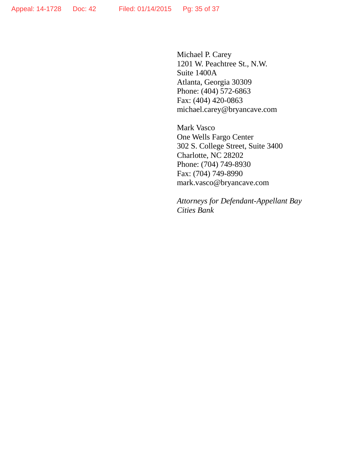Michael P. Carey 1201 W. Peachtree St., N.W. Suite 1400A Atlanta, Georgia 30309 Phone: (404) 572-6863 Fax: (404) 420-0863 michael.carey@bryancave.com

Mark Vasco One Wells Fargo Center 302 S. College Street, Suite 3400 Charlotte, NC 28202 Phone: (704) 749-8930 Fax: (704) 749-8990 mark.vasco@bryancave.com

*Attorneys for Defendant-Appellant Bay Cities Bank*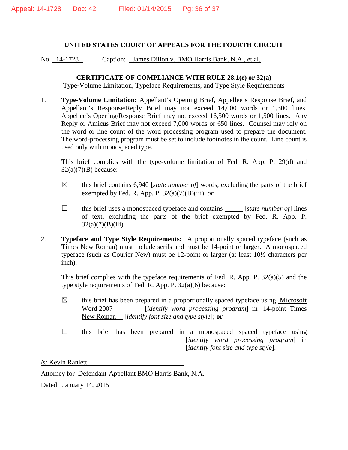#### **UNITED STATES COURT OF APPEALS FOR THE FOURTH CIRCUIT**

No. 14-1728 Caption: James Dillon v. BMO Harris Bank, N.A., et al.

#### **CERTIFICATE OF COMPLIANCE WITH RULE 28.1(e) or 32(a)**

Type-Volume Limitation, Typeface Requirements, and Type Style Requirements

1. **Type-Volume Limitation:** Appellant's Opening Brief, Appellee's Response Brief, and Appellant's Response/Reply Brief may not exceed 14,000 words or 1,300 lines. Appellee's Opening/Response Brief may not exceed 16,500 words or 1,500 lines. Any Reply or Amicus Brief may not exceed 7,000 words or 650 lines. Counsel may rely on the word or line count of the word processing program used to prepare the document. The word-processing program must be set to include footnotes in the count. Line count is used only with monospaced type.

This brief complies with the type-volume limitation of Fed. R. App. P. 29(d) and  $32(a)(7)(B)$  because:

- $\boxtimes$  this brief contains 6,940 [*state number of*] words, excluding the parts of the brief exempted by Fed. R. App. P. 32(a)(7)(B)(iii), *or*
- ☐ this brief uses a monospaced typeface and contains [*state number of*] lines of text, excluding the parts of the brief exempted by Fed. R. App. P.  $32(a)(7)(B)(iii)$ .
- 2. **Typeface and Type Style Requirements:** A proportionally spaced typeface (such as Times New Roman) must include serifs and must be 14-point or larger. A monospaced typeface (such as Courier New) must be 12-point or larger (at least 10½ characters per inch).

This brief complies with the typeface requirements of Fed. R. App. P. 32(a)(5) and the type style requirements of Fed. R. App. P. 32(a)(6) because:

- $\boxtimes$  this brief has been prepared in a proportionally spaced typeface using Microsoft Word 2007 [*identify word processing program*] in 14-point Times New Roman [*identify font size and type style*]; **or**
- ☐ this brief has been prepared in a monospaced spaced typeface using [*identify word processing program*] in [*identify font size and type style*].

/s/ Kevin Ranlett

Attorney for Defendant-Appellant BMO Harris Bank, N.A. Dated: January 14, 2015